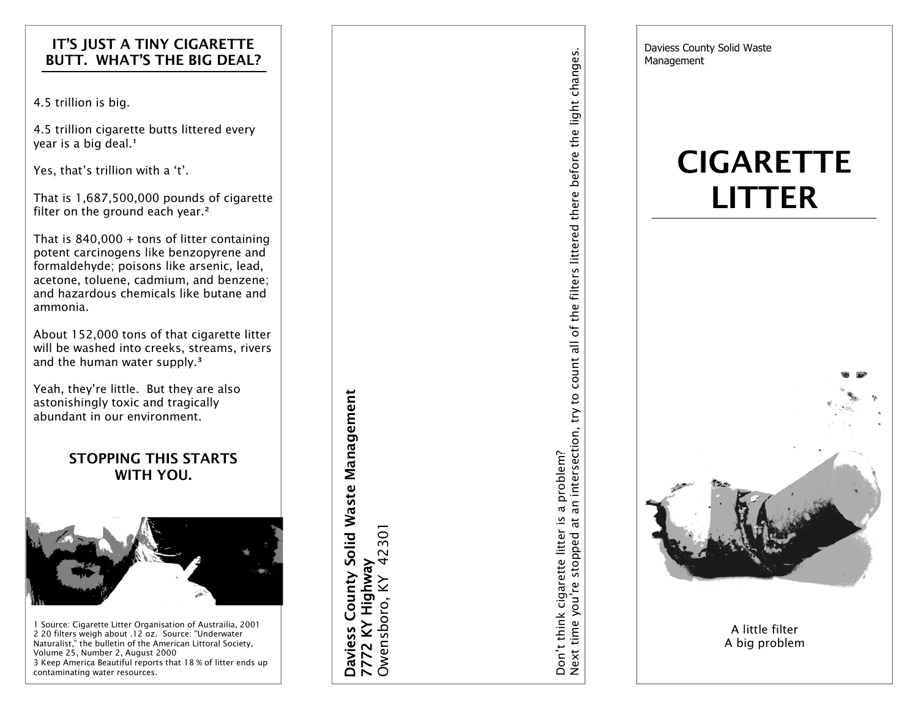## IT'S JUST A TINY CIGARETTE BUTT. WHAT'S THE BIG DEAL?

4.5 trillion is big.

4.5 trillion cigarette butts littered every year is a big deal.<sup>1</sup>

Yes, that's trillion with a 't'.

That is 1,687,500,000 pounds of cigarette filter on the ground each year.<sup>2</sup>

That is 840,000 + tons of litter containing potent carcinogens like benzopyrene and formaldehyde; poisons like arsenic, lead, acetone, toluene, cadmium, and benzene; and hazardous chemicals like butane and ammonia.

About 152,000 tons of that cigarette litter will be washed into creeks, streams, rivers and the human water supply.<sup>3</sup>

Yeah, they're little. But they are also astonishingly toxic and tragically abundant in our environment.

# STOPPING THIS STARTS WITH YOU.



1 Source: Cigarette Litter Organisation of Austrailia, 2001 2 20 filters weigh about .12 oz. Source: "Underwater Naturalist," the bulletin of the American Littoral Society, Volume 25, Number 2, August 2000 3 Keep America Beautiful reports that 18 % of litter ends up contaminating water resources.

Daviess County Solid Waste Management Daviess County Solid Waste Management 42301 Owensboro, KY 42301 7772 KY Highway 7772 KY Highway Owensboro, KY Don't think cigarette litter is a problem?<br>Next time you're stopped at an intersection, try to count all of the filters littered there before the light changes. Next time you're stopped at an intersection, try to count all of the filters littered there before the light changes.Don't think cigarette litter is a problem?

Daviess County Solid Waste Management

# **CIGARETTE** LITTER